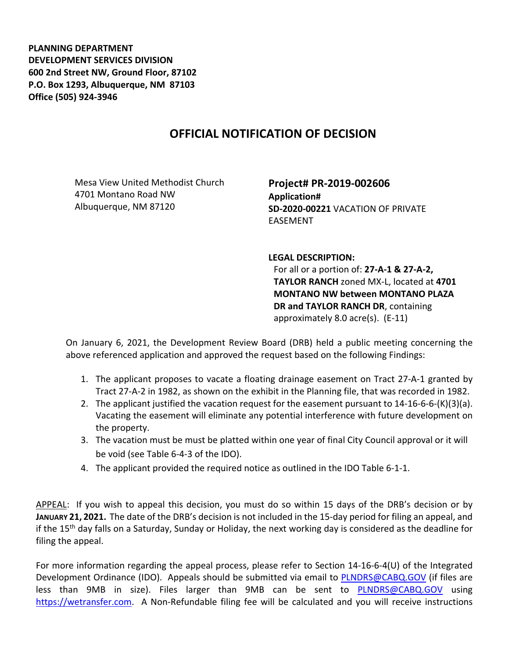**PLANNING DEPARTMENT DEVELOPMENT SERVICES DIVISION 600 2nd Street NW, Ground Floor, 87102 P.O. Box 1293, Albuquerque, NM 87103 Office (505) 924-3946** 

## **OFFICIAL NOTIFICATION OF DECISION**

Mesa View United Methodist Church 4701 Montano Road NW Albuquerque, NM 87120

**Project# PR-2019-002606 Application# SD-2020-00221** VACATION OF PRIVATE EASEMENT

**LEGAL DESCRIPTION:**

For all or a portion of: **27-A-1 & 27-A-2, TAYLOR RANCH** zoned MX-L, located at **4701 MONTANO NW between MONTANO PLAZA DR and TAYLOR RANCH DR**, containing approximately 8.0 acre(s). (E-11)

On January 6, 2021, the Development Review Board (DRB) held a public meeting concerning the above referenced application and approved the request based on the following Findings:

- 1. The applicant proposes to vacate a floating drainage easement on Tract 27-A-1 granted by Tract 27-A-2 in 1982, as shown on the exhibit in the Planning file, that was recorded in 1982.
- 2. The applicant justified the vacation request for the easement pursuant to  $14$ -16-6-6- $(K)(3)(a)$ . Vacating the easement will eliminate any potential interference with future development on the property.
- 3. The vacation must be must be platted within one year of final City Council approval or it will be void (see Table 6-4-3 of the IDO).
- 4. The applicant provided the required notice as outlined in the IDO Table 6-1-1.

APPEAL: If you wish to appeal this decision, you must do so within 15 days of the DRB's decision or by **JANUARY 21, 2021.** The date of the DRB's decision is not included in the 15-day period for filing an appeal, and if the 15<sup>th</sup> day falls on a Saturday, Sunday or Holiday, the next working day is considered as the deadline for filing the appeal.

For more information regarding the appeal process, please refer to Section 14-16-6-4(U) of the Integrated Development Ordinance (IDO). Appeals should be submitted via email to [PLNDRS@CABQ.GOV](mailto:PLNDRS@CABQ.GOV) (if files are less than 9MB in size). Files larger than 9MB can be sent to [PLNDRS@CABQ.GOV](mailto:PLNDRS@CABQ.GOV) using [https://wetransfer.com.](https://wetransfer.com/) A Non-Refundable filing fee will be calculated and you will receive instructions